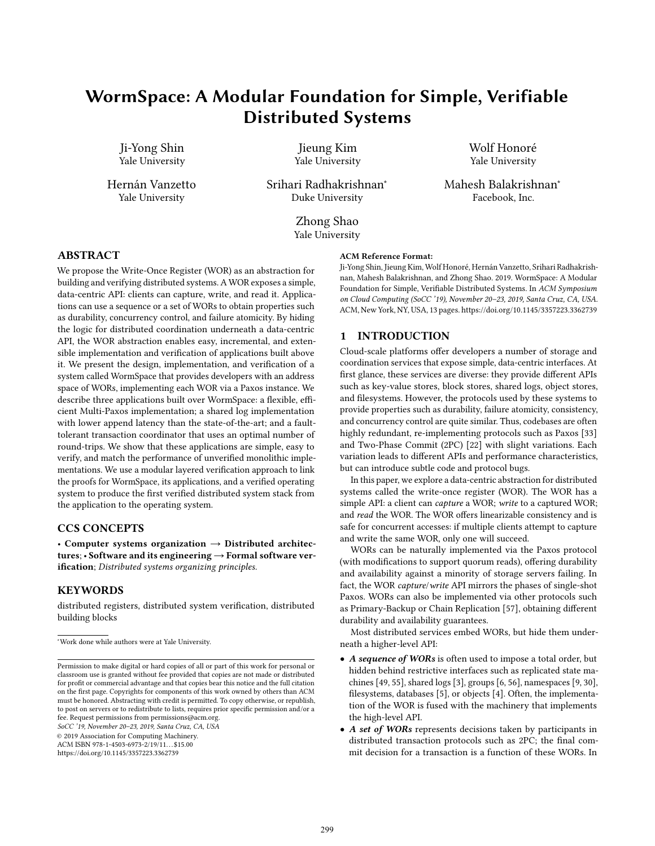# WormSpace: A Modular Foundation for Simple, Verifiable Distributed Systems

Ji-Yong Shin Yale University

Hernán Vanzetto Yale University

Jieung Kim Yale University

Srihari Radhakrishnan<sup>∗</sup> Duke University

> Zhong Shao Yale University

Wolf Honoré Yale University

Mahesh Balakrishnan<sup>∗</sup> Facebook, Inc.

## ABSTRACT

We propose the Write-Once Register (WOR) as an abstraction for building and verifying distributed systems. A WOR exposes a simple, data-centric API: clients can capture, write, and read it. Applications can use a sequence or a set of WORs to obtain properties such as durability, concurrency control, and failure atomicity. By hiding the logic for distributed coordination underneath a data-centric API, the WOR abstraction enables easy, incremental, and extensible implementation and verification of applications built above it. We present the design, implementation, and verification of a system called WormSpace that provides developers with an address space of WORs, implementing each WOR via a Paxos instance. We describe three applications built over WormSpace: a flexible, efficient Multi-Paxos implementation; a shared log implementation with lower append latency than the state-of-the-art; and a faulttolerant transaction coordinator that uses an optimal number of round-trips. We show that these applications are simple, easy to verify, and match the performance of unverified monolithic implementations. We use a modular layered verification approach to link the proofs for WormSpace, its applications, and a verified operating system to produce the first verified distributed system stack from the application to the operating system.

## CCS CONCEPTS

• Computer systems organization  $\rightarrow$  Distributed architectures; • Software and its engineering  $\rightarrow$  Formal software verification; Distributed systems organizing principles.

### KEYWORDS

distributed registers, distributed system verification, distributed building blocks

SoCC '19, November 20-23, 2019, Santa Cruz, CA, USA

© 2019 Association for Computing Machinery.

ACM ISBN 978-1-4503-6973-2/19/11...\$15.00

https://doi.org/10.1145/3357223.3362739

#### ACM Reference Format:

Ji-Yong Shin, Jieung Kim, Wolf Honoré, Hernán Vanzetto, Srihari Radhakrishnan, Mahesh Balakrishnan, and Zhong Shao. 2019. WormSpace: A Modular Foundation for Simple, Verifiable Distributed Systems. In ACM Symposium on Cloud Computing (SoCC '19), November 20-23, 2019, Santa Cruz, CA, USA. ACM, New York, NY, USA, 13 pages. https://doi.org/10.1145/3357223.3362739

## 1 INTRODUCTION

Cloud-scale platforms offer developers a number of storage and coordination services that expose simple, data-centric interfaces. At first glance, these services are diverse: they provide different APIs such as key-value stores, block stores, shared logs, object stores, and filesystems. However, the protocols used by these systems to provide properties such as durability, failure atomicity, consistency, and concurrency control are quite similar. Thus, codebases are often highly redundant, re-implementing protocols such as Paxos [33] and Two-Phase Commit (2PC) [22] with slight variations. Each variation leads to different APIs and performance characteristics, but can introduce subtle code and protocol bugs.

In this paper, we explore a data-centric abstraction for distributed systems called the write-once register (WOR). The WOR has a simple API: a client can capture a WOR; write to a captured WOR; and read the WOR. The WOR offers linearizable consistency and is safe for concurrent accesses: if multiple clients attempt to capture and write the same WOR, only one will succeed.

WORs can be naturally implemented via the Paxos protocol (with modifications to support quorum reads), offering durability and availability against a minority of storage servers failing. In fact, the WOR capture/write API mirrors the phases of single-shot Paxos. WORs can also be implemented via other protocols such as Primary-Backup or Chain Replication [57], obtaining different durability and availability guarantees.

Most distributed services embed WORs, but hide them underneath a higher-level API:

- A sequence of WORs is often used to impose a total order, but hidden behind restrictive interfaces such as replicated state machines [49, 55], shared logs [3], groups [6, 56], namespaces [9, 30], filesystems, databases [5], or objects [4]. Often, the implementation of the WOR is fused with the machinery that implements the high-level API.
- A set of WORs represents decisions taken by participants in distributed transaction protocols such as 2PC; the final commit decision for a transaction is a function of these WORs. In

<sup>∗</sup>Work done while authors were at Yale University.

Permission to make digital or hard copies of all or part of this work for personal or classroom use is granted without fee provided that copies are not made or distributed for profit or commercial advantage and that copies bear this notice and the full citation on the first page. Copyrights for components of this work owned by others than ACM must be honored. Abstracting with credit is permitted. To copy otherwise, or republish, to post on servers or to redistribute to lists, requires prior specific permission and/or a fee. Request permissions from permissions@acm.org.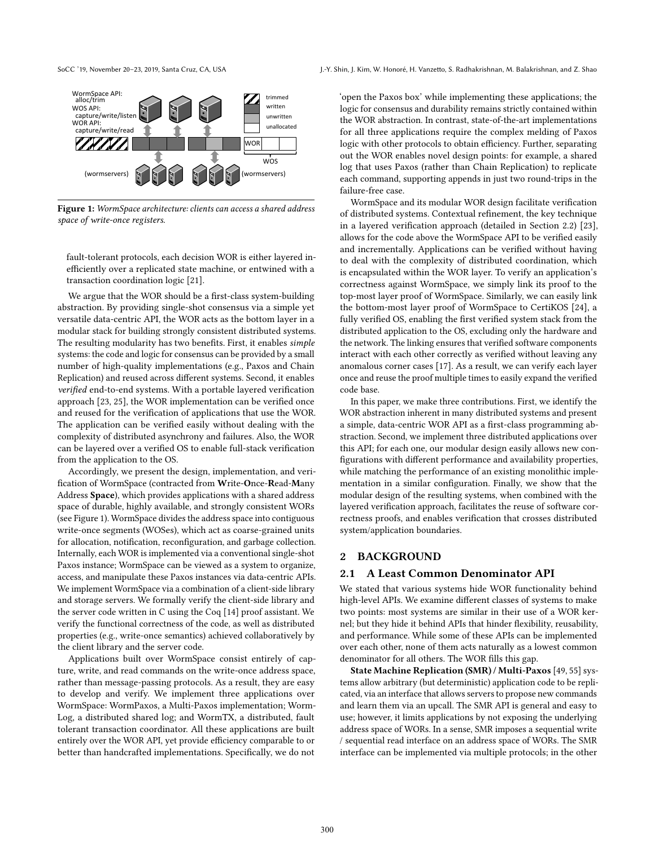

Figure 1: WormSpace architecture: clients can access a shared address space of write-once registers.

fault-tolerant protocols, each decision WOR is either layered inefficiently over a replicated state machine, or entwined with a transaction coordination logic [21].

We argue that the WOR should be a first-class system-building abstraction. By providing single-shot consensus via a simple yet versatile data-centric API, the WOR acts as the bottom layer in a modular stack for building strongly consistent distributed systems. The resulting modularity has two benefits. First, it enables simple systems: the code and logic for consensus can be provided by a small number of high-quality implementations (e.g., Paxos and Chain Replication) and reused across different systems. Second, it enables verified end-to-end systems. With a portable layered verification approach [23, 25], the WOR implementation can be verified once and reused for the verification of applications that use the WOR. The application can be verified easily without dealing with the complexity of distributed asynchrony and failures. Also, the WOR can be layered over a verified OS to enable full-stack verification from the application to the OS.

Accordingly, we present the design, implementation, and verification of WormSpace (contracted from Write-Once-Read-Many Address Space), which provides applications with a shared address space of durable, highly available, and strongly consistent WORs (see Figure 1). WormSpace divides the address space into contiguous write-once segments (WOSes), which act as coarse-grained units for allocation, notification, reconfiguration, and garbage collection. Internally, each WOR is implemented via a conventional single-shot Paxos instance; WormSpace can be viewed as a system to organize, access, and manipulate these Paxos instances via data-centric APIs. We implement WormSpace via a combination of a client-side library and storage servers. We formally verify the client-side library and the server code written in C using the Coq [14] proof assistant. We verify the functional correctness of the code, as well as distributed properties (e.g., write-once semantics) achieved collaboratively by the client library and the server code.

Applications built over WormSpace consist entirely of capture, write, and read commands on the write-once address space, rather than message-passing protocols. As a result, they are easy to develop and verify. We implement three applications over WormSpace: WormPaxos, a Multi-Paxos implementation; Worm-Log, a distributed shared log; and WormTX, a distributed, fault tolerant transaction coordinator. All these applications are built entirely over the WOR API, yet provide efficiency comparable to or better than handcrafted implementations. Specifically, we do not

'open the Paxos box' while implementing these applications; the logic for consensus and durability remains strictly contained within the WOR abstraction. In contrast, state-of-the-art implementations for all three applications require the complex melding of Paxos logic with other protocols to obtain efficiency. Further, separating out the WOR enables novel design points: for example, a shared log that uses Paxos (rather than Chain Replication) to replicate each command, supporting appends in just two round-trips in the failure-free case.

WormSpace and its modular WOR design facilitate verification of distributed systems. Contextual refinement, the key technique in a layered verification approach (detailed in Section 2.2) [23], allows for the code above the WormSpace API to be verified easily and incrementally. Applications can be verified without having to deal with the complexity of distributed coordination, which is encapsulated within the WOR layer. To verify an application's correctness against WormSpace, we simply link its proof to the top-most layer proof of WormSpace. Similarly, we can easily link the bottom-most layer proof of WormSpace to CertiKOS [24], a fully verified OS, enabling the first verified system stack from the distributed application to the OS, excluding only the hardware and the network. The linking ensures that verified software components interact with each other correctly as verified without leaving any anomalous corner cases [17]. As a result, we can verify each layer once and reuse the proof multiple times to easily expand the verified code base.

In this paper, we make three contributions. First, we identify the WOR abstraction inherent in many distributed systems and present a simple, data-centric WOR API as a first-class programming abstraction. Second, we implement three distributed applications over this API; for each one, our modular design easily allows new configurations with different performance and availability properties, while matching the performance of an existing monolithic implementation in a similar configuration. Finally, we show that the modular design of the resulting systems, when combined with the layered verification approach, facilitates the reuse of software correctness proofs, and enables verification that crosses distributed system/application boundaries.

#### 2 BACKGROUND

## 2.1 A Least Common Denominator API

We stated that various systems hide WOR functionality behind high-level APIs. We examine different classes of systems to make two points: most systems are similar in their use of a WOR kernel; but they hide it behind APIs that hinder flexibility, reusability, and performance. While some of these APIs can be implemented over each other, none of them acts naturally as a lowest common denominator for all others. The WOR fills this gap.

State Machine Replication (SMR) / Multi-Paxos [49, 55] systems allow arbitrary (but deterministic) application code to be replicated, via an interface that allows servers to propose new commands and learn them via an upcall. The SMR API is general and easy to use; however, it limits applications by not exposing the underlying address space of WORs. In a sense, SMR imposes a sequential write / sequential read interface on an address space of WORs. The SMR interface can be implemented via multiple protocols; in the other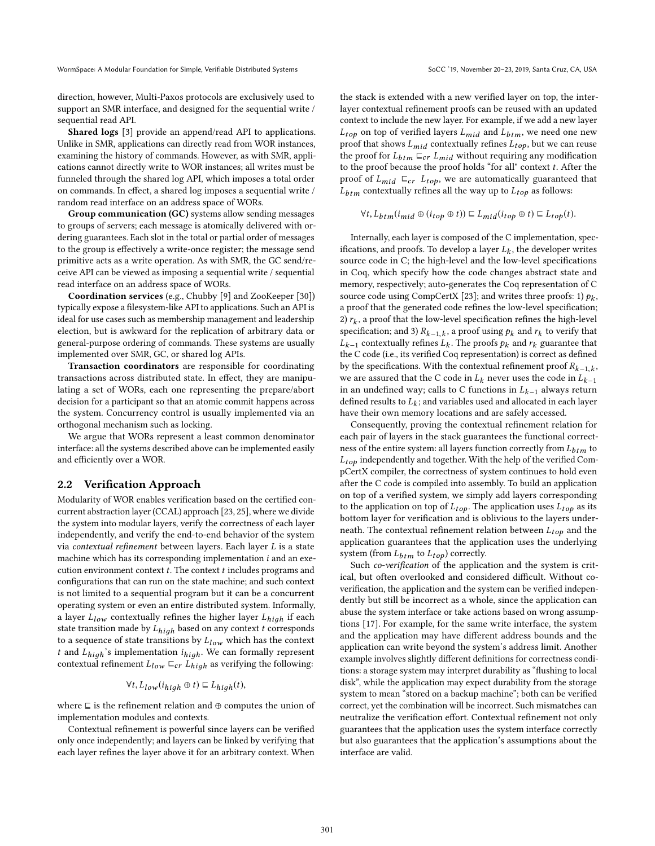direction, however, Multi-Paxos protocols are exclusively used to support an SMR interface, and designed for the sequential write / sequential read API.

Shared logs [3] provide an append/read API to applications. Unlike in SMR, applications can directly read from WOR instances, examining the history of commands. However, as with SMR, applications cannot directly write to WOR instances; all writes must be funneled through the shared log API, which imposes a total order on commands. In effect, a shared log imposes a sequential write / random read interface on an address space of WORs.

Group communication (GC) systems allow sending messages to groups of servers; each message is atomically delivered with ordering guarantees. Each slot in the total or partial order of messages to the group is effectively a write-once register; the message send primitive acts as a write operation. As with SMR, the GC send/receive API can be viewed as imposing a sequential write / sequential read interface on an address space of WORs.

Coordination services (e.g., Chubby [9] and ZooKeeper [30]) typically expose a filesystem-like API to applications. Such an API is ideal for use cases such as membership management and leadership election, but is awkward for the replication of arbitrary data or general-purpose ordering of commands. These systems are usually implemented over SMR, GC, or shared log APIs.

Transaction coordinators are responsible for coordinating transactions across distributed state. In effect, they are manipulating a set of WORs, each one representing the prepare/abort decision for a participant so that an atomic commit happens across the system. Concurrency control is usually implemented via an orthogonal mechanism such as locking.

We argue that WORs represent a least common denominator interface: all the systems described above can be implemented easily and efficiently over a WOR.

#### 2.2 Verification Approach

Modularity of WOR enables verification based on the certified concurrent abstraction layer (CCAL) approach [23, 25], where we divide the system into modular layers, verify the correctness of each layer independently, and verify the end-to-end behavior of the system via contextual refinement between layers. Each layer L is a state machine which has its corresponding implementation *i* and an execution environment context  $t$ . The context  $t$  includes programs and configurations that can run on the state machine; and such context is not limited to a sequential program but it can be a concurrent operating system or even an entire distributed system. Informally, a layer  $L_{low}$  contextually refines the higher layer  $L_{high}$  if each state transition made by  $L_{high}$  based on any context t corresponds to a sequence of state transitions by  $L_{low}$  which has the context t and  $L_{high}$ 's implementation  $i_{high}$ . We can formally represent contextual refinement  $L_{low} \sqsubseteq_{cr} L_{high}$  as verifying the following:

$$
\forall t, L_{low}(i_{high} \oplus t) \sqsubseteq L_{high}(t),
$$

where ⊑ is the refinement relation and ⊕ computes the union of implementation modules and contexts.

Contextual refinement is powerful since layers can be verified only once independently; and layers can be linked by verifying that each layer refines the layer above it for an arbitrary context. When the stack is extended with a new verified layer on top, the interlayer contextual refinement proofs can be reused with an updated context to include the new layer. For example, if we add a new layer  $L_{tob}$  on top of verified layers  $L_{mid}$  and  $L_{btm}$ , we need one new proof that shows  $L_{mid}$  contextually refines  $L_{top}$ , but we can reuse the proof for  $L_{btm} \sqsubseteq_{cr} L_{mid}$  without requiring any modification to the proof because the proof holds "for all" context  $t$ . After the proof of  $L_{mid} \subseteq_{cr} L_{top}$ , we are automatically guaranteed that  $L_{btm}$  contextually refines all the way up to  $L_{top}$  as follows:

$$
\forall t, L_{btm}(i_{mid} \oplus (i_{top} \oplus t)) \sqsubseteq L_{mid}(i_{top} \oplus t) \sqsubseteq L_{top}(t).
$$

Internally, each layer is composed of the C implementation, specifications, and proofs. To develop a layer  $\mathcal{L}_k$  , the developer writes source code in C; the high-level and the low-level specifications in Coq, which specify how the code changes abstract state and memory, respectively; auto-generates the Coq representation of C source code using CompCertX [23]; and writes three proofs: 1)  $p_k$ , a proof that the generated code refines the low-level specification; 2)  $r_k$ , a proof that the low-level specification refines the high-level specification; and 3)  $R_{k-1,k}$ , a proof using  $p_k$  and  $r_k$  to verify that  $L_{k-1}$  contextually refines  $L_k$ . The proofs  $p_k$  and  $r_k$  guarantee that the C code (i.e., its verified Coq representation) is correct as defined by the specifications. With the contextual refinement proof  $R_{k-1,k}$ , we are assured that the C code in  $L_k$  never uses the code in  $L_{k-1}$ in an undefined way; calls to C functions in  $L_{k-1}$  always return defined results to  $L_k$ ; and variables used and allocated in each layer have their own memory locations and are safely accessed.

Consequently, proving the contextual refinement relation for each pair of layers in the stack guarantees the functional correctness of the entire system: all layers function correctly from  $L_{btm}$  to  $L_{top}$  independently and together. With the help of the verified CompCertX compiler, the correctness of system continues to hold even after the C code is compiled into assembly. To build an application on top of a verified system, we simply add layers corresponding to the application on top of  $L_{top}$ . The application uses  $L_{top}$  as its bottom layer for verification and is oblivious to the layers underneath. The contextual refinement relation between  $L_{top}$  and the application guarantees that the application uses the underlying system (from  $L_{btm}$  to  $L_{top}$ ) correctly.

Such co-verification of the application and the system is critical, but often overlooked and considered difficult. Without coverification, the application and the system can be verified independently but still be incorrect as a whole, since the application can abuse the system interface or take actions based on wrong assumptions [17]. For example, for the same write interface, the system and the application may have different address bounds and the application can write beyond the system's address limit. Another example involves slightly different definitions for correctness conditions: a storage system may interpret durability as "flushing to local disk", while the application may expect durability from the storage system to mean "stored on a backup machine"; both can be verified correct, yet the combination will be incorrect. Such mismatches can neutralize the verification effort. Contextual refinement not only guarantees that the application uses the system interface correctly but also guarantees that the application's assumptions about the interface are valid.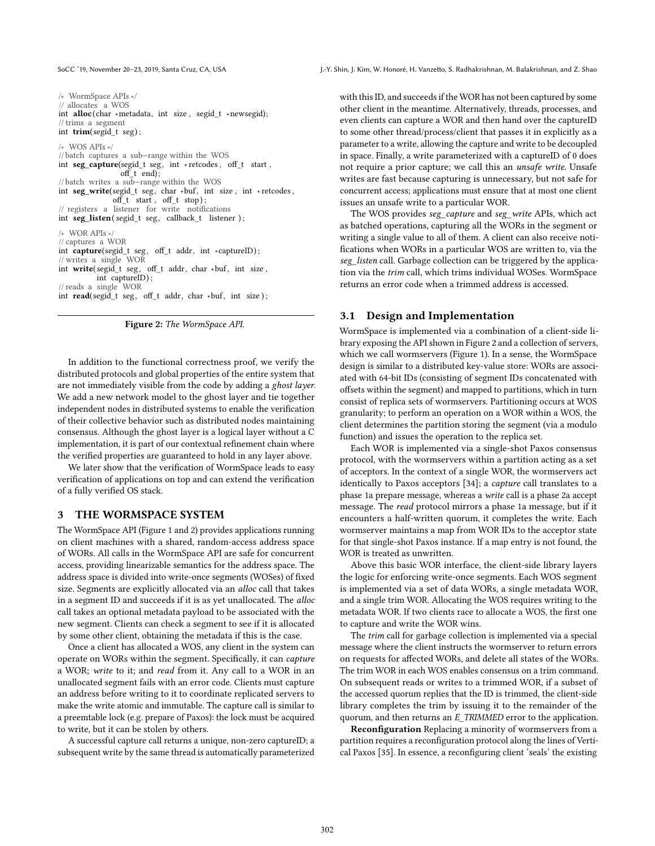SoCC '19, November 20-23, 2019, Santa Cruz, CA, USA J.-Y. Shin, J. Kim, W. Honoré, H. Vanzetto, S. Radhakrishnan, M. Balakrishnan, and Z. Shao

/∗ WormSpace APIs ∗/ // allocates a WOS int alloc (char ∗metadata, int size , segid\_t ∗newsegid); // trims a segment int trim(segid\_t seg) ; /∗ WOS APIs ∗/ // batch captures a sub−range within the WOS int seg\_capture(segid\_t seg , int ∗ retcodes , off\_t start , off\_t end); // batch writes a sub−range within the WOS int seg\_write(segid\_t seg, char \*buf, int size, int \*retcodes, off\_t start , off\_t stop) ; // registers a listener for write notifications int seg\_listen(segid\_t seg, callback\_t listener); /∗ WOR APIs ∗/ // captures a WOR int capture(segid\_t seg, off\_t addr, int \*captureID); // writes a single WOR  $\label{eq:optimal} \begin{split} \text{int}\ \ \textbf{write}(&\ \text{segi}\,\breve{\text{d}}_t\ \ \text{seg}\,,\ \ \text{off}\_\text{t}\ \ \text{addr}\,,\ \text{char}\ \ast\text{buf}\,,\ \ \text{int}\ \ \text{size}\,, \end{split}$ int captureID) ; // reads a single WOR int read( segid\_t seg, off\_t addr, char ∗buf, int size);



In addition to the functional correctness proof, we verify the distributed protocols and global properties of the entire system that are not immediately visible from the code by adding a ghost layer. We add a new network model to the ghost layer and tie together independent nodes in distributed systems to enable the verification of their collective behavior such as distributed nodes maintaining consensus. Although the ghost layer is a logical layer without a C implementation, it is part of our contextual refinement chain where the verified properties are guaranteed to hold in any layer above.

We later show that the verification of WormSpace leads to easy verification of applications on top and can extend the verification of a fully verified OS stack.

#### 3 THE WORMSPACE SYSTEM

The WormSpace API (Figure 1 and 2) provides applications running on client machines with a shared, random-access address space of WORs. All calls in the WormSpace API are safe for concurrent access, providing linearizable semantics for the address space. The address space is divided into write-once segments (WOSes) of fixed size. Segments are explicitly allocated via an alloc call that takes in a segment ID and succeeds if it is as yet unallocated. The alloc call takes an optional metadata payload to be associated with the new segment. Clients can check a segment to see if it is allocated by some other client, obtaining the metadata if this is the case.

Once a client has allocated a WOS, any client in the system can operate on WORs within the segment. Specifically, it can capture a WOR; write to it; and read from it. Any call to a WOR in an unallocated segment fails with an error code. Clients must capture an address before writing to it to coordinate replicated servers to make the write atomic and immutable. The capture call is similar to a preemtable lock (e.g. prepare of Paxos): the lock must be acquired to write, but it can be stolen by others.

A successful capture call returns a unique, non-zero captureID; a subsequent write by the same thread is automatically parameterized with this ID, and succeeds if the WOR has not been captured by some other client in the meantime. Alternatively, threads, processes, and even clients can capture a WOR and then hand over the captureID to some other thread/process/client that passes it in explicitly as a parameter to a write, allowing the capture and write to be decoupled in space. Finally, a write parameterized with a captureID of 0 does not require a prior capture; we call this an unsafe write. Unsafe writes are fast because capturing is unnecessary, but not safe for concurrent access; applications must ensure that at most one client issues an unsafe write to a particular WOR.

The WOS provides seg capture and seg write APIs, which act as batched operations, capturing all the WORs in the segment or writing a single value to all of them. A client can also receive notifications when WORs in a particular WOS are written to, via the seg\_listen call. Garbage collection can be triggered by the application via the trim call, which trims individual WOSes. WormSpace returns an error code when a trimmed address is accessed.

## 3.1 Design and Implementation

WormSpace is implemented via a combination of a client-side library exposing the API shown in Figure 2 and a collection of servers, which we call wormservers (Figure 1). In a sense, the WormSpace design is similar to a distributed key-value store: WORs are associated with 64-bit IDs (consisting of segment IDs concatenated with offsets within the segment) and mapped to partitions, which in turn consist of replica sets of wormservers. Partitioning occurs at WOS granularity; to perform an operation on a WOR within a WOS, the client determines the partition storing the segment (via a modulo function) and issues the operation to the replica set.

Each WOR is implemented via a single-shot Paxos consensus protocol, with the wormservers within a partition acting as a set of acceptors. In the context of a single WOR, the wormservers act identically to Paxos acceptors [34]; a capture call translates to a phase 1a prepare message, whereas a write call is a phase 2a accept message. The read protocol mirrors a phase 1a message, but if it encounters a half-written quorum, it completes the write. Each wormserver maintains a map from WOR IDs to the acceptor state for that single-shot Paxos instance. If a map entry is not found, the WOR is treated as unwritten.

Above this basic WOR interface, the client-side library layers the logic for enforcing write-once segments. Each WOS segment is implemented via a set of data WORs, a single metadata WOR, and a single trim WOR. Allocating the WOS requires writing to the metadata WOR. If two clients race to allocate a WOS, the first one to capture and write the WOR wins.

The trim call for garbage collection is implemented via a special message where the client instructs the wormserver to return errors on requests for affected WORs, and delete all states of the WORs. The trim WOR in each WOS enables consensus on a trim command. On subsequent reads or writes to a trimmed WOR, if a subset of the accessed quorum replies that the ID is trimmed, the client-side library completes the trim by issuing it to the remainder of the quorum, and then returns an E\_TRIMMED error to the application.

Reconfiguration Replacing a minority of wormservers from a partition requires a reconfiguration protocol along the lines of Vertical Paxos [35]. In essence, a reconfiguring client 'seals' the existing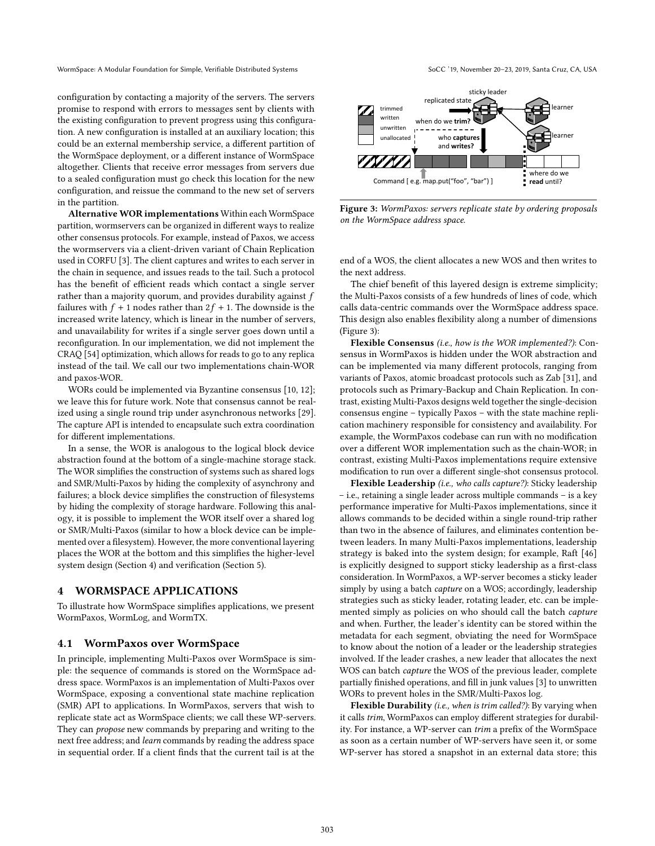configuration by contacting a majority of the servers. The servers promise to respond with errors to messages sent by clients with the existing configuration to prevent progress using this configuration. A new configuration is installed at an auxiliary location; this could be an external membership service, a different partition of the WormSpace deployment, or a different instance of WormSpace altogether. Clients that receive error messages from servers due to a sealed configuration must go check this location for the new configuration, and reissue the command to the new set of servers in the partition.

Alternative WOR implementations Within each WormSpace partition, wormservers can be organized in different ways to realize other consensus protocols. For example, instead of Paxos, we access the wormservers via a client-driven variant of Chain Replication used in CORFU [3]. The client captures and writes to each server in the chain in sequence, and issues reads to the tail. Such a protocol has the benefit of efficient reads which contact a single server rather than a majority quorum, and provides durability against f failures with  $f + 1$  nodes rather than  $2f + 1$ . The downside is the increased write latency, which is linear in the number of servers, and unavailability for writes if a single server goes down until a reconfiguration. In our implementation, we did not implement the CRAQ [54] optimization, which allows for reads to go to any replica instead of the tail. We call our two implementations chain-WOR and paxos-WOR.

WORs could be implemented via Byzantine consensus [10, 12]; we leave this for future work. Note that consensus cannot be realized using a single round trip under asynchronous networks [29]. The capture API is intended to encapsulate such extra coordination for different implementations.

In a sense, the WOR is analogous to the logical block device abstraction found at the bottom of a single-machine storage stack. The WOR simplifies the construction of systems such as shared logs and SMR/Multi-Paxos by hiding the complexity of asynchrony and failures; a block device simplifies the construction of filesystems by hiding the complexity of storage hardware. Following this analogy, it is possible to implement the WOR itself over a shared log or SMR/Multi-Paxos (similar to how a block device can be implemented over a filesystem). However, the more conventional layering places the WOR at the bottom and this simplifies the higher-level system design (Section 4) and verification (Section 5).

### 4 WORMSPACE APPLICATIONS

To illustrate how WormSpace simplifies applications, we present WormPaxos, WormLog, and WormTX.

### 4.1 WormPaxos over WormSpace

In principle, implementing Multi-Paxos over WormSpace is simple: the sequence of commands is stored on the WormSpace address space. WormPaxos is an implementation of Multi-Paxos over WormSpace, exposing a conventional state machine replication (SMR) API to applications. In WormPaxos, servers that wish to replicate state act as WormSpace clients; we call these WP-servers. They can *propose* new commands by preparing and writing to the next free address; and learn commands by reading the address space in sequential order. If a client finds that the current tail is at the



Figure 3: WormPaxos: servers replicate state by ordering proposals on the WormSpace address space.

end of a WOS, the client allocates a new WOS and then writes to the next address.

The chief benefit of this layered design is extreme simplicity; the Multi-Paxos consists of a few hundreds of lines of code, which calls data-centric commands over the WormSpace address space. This design also enables flexibility along a number of dimensions (Figure 3):

Flexible Consensus (i.e., how is the WOR implemented?): Consensus in WormPaxos is hidden under the WOR abstraction and can be implemented via many different protocols, ranging from variants of Paxos, atomic broadcast protocols such as Zab [31], and protocols such as Primary-Backup and Chain Replication. In contrast, existing Multi-Paxos designs weld together the single-decision consensus engine - typically Paxos - with the state machine replication machinery responsible for consistency and availability. For example, the WormPaxos codebase can run with no modification over a different WOR implementation such as the chain-WOR; in contrast, existing Multi-Paxos implementations require extensive modification to run over a different single-shot consensus protocol.

Flexible Leadership (i.e., who calls capture?): Sticky leadership  $-$  i.e., retaining a single leader across multiple commands  $-$  is a key performance imperative for Multi-Paxos implementations, since it allows commands to be decided within a single round-trip rather than two in the absence of failures, and eliminates contention between leaders. In many Multi-Paxos implementations, leadership strategy is baked into the system design; for example, Raft [46] is explicitly designed to support sticky leadership as a first-class consideration. In WormPaxos, a WP-server becomes a sticky leader simply by using a batch *capture* on a WOS; accordingly, leadership strategies such as sticky leader, rotating leader, etc. can be implemented simply as policies on who should call the batch capture and when. Further, the leader's identity can be stored within the metadata for each segment, obviating the need for WormSpace to know about the notion of a leader or the leadership strategies involved. If the leader crashes, a new leader that allocates the next WOS can batch capture the WOS of the previous leader, complete partially finished operations, and fill in junk values [3] to unwritten WORs to prevent holes in the SMR/Multi-Paxos log.

Flexible Durability (i.e., when is trim called?): By varying when it calls trim, WormPaxos can employ different strategies for durability. For instance, a WP-server can trim a prefix of the WormSpace as soon as a certain number of WP-servers have seen it, or some WP-server has stored a snapshot in an external data store; this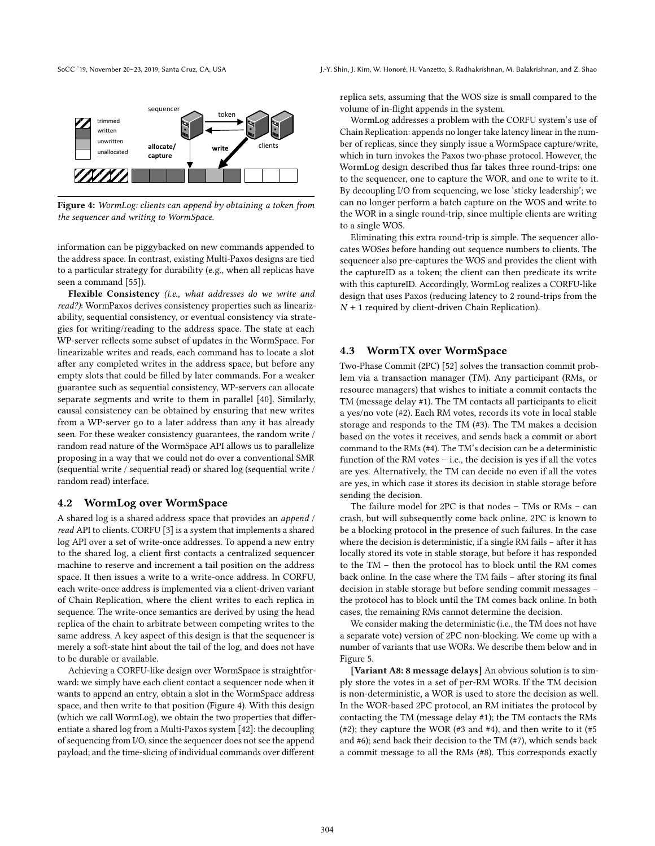

Figure 4: WormLog: clients can append by obtaining a token from the sequencer and writing to WormSpace.

information can be piggybacked on new commands appended to the address space. In contrast, existing Multi-Paxos designs are tied to a particular strategy for durability (e.g., when all replicas have seen a command [55]).

Flexible Consistency (i.e., what addresses do we write and read?): WormPaxos derives consistency properties such as linearizability, sequential consistency, or eventual consistency via strategies for writing/reading to the address space. The state at each WP-server reflects some subset of updates in the WormSpace. For linearizable writes and reads, each command has to locate a slot after any completed writes in the address space, but before any empty slots that could be filled by later commands. For a weaker guarantee such as sequential consistency, WP-servers can allocate separate segments and write to them in parallel [40]. Similarly, causal consistency can be obtained by ensuring that new writes from a WP-server go to a later address than any it has already seen. For these weaker consistency guarantees, the random write / random read nature of the WormSpace API allows us to parallelize proposing in a way that we could not do over a conventional SMR (sequential write / sequential read) or shared log (sequential write / random read) interface.

#### 4.2 WormLog over WormSpace

A shared log is a shared address space that provides an append / read API to clients. CORFU [3] is a system that implements a shared log API over a set of write-once addresses. To append a new entry to the shared log, a client first contacts a centralized sequencer machine to reserve and increment a tail position on the address space. It then issues a write to a write-once address. In CORFU, each write-once address is implemented via a client-driven variant of Chain Replication, where the client writes to each replica in sequence. The write-once semantics are derived by using the head replica of the chain to arbitrate between competing writes to the same address. A key aspect of this design is that the sequencer is merely a soft-state hint about the tail of the log, and does not have to be durable or available.

Achieving a CORFU-like design over WormSpace is straightforward: we simply have each client contact a sequencer node when it wants to append an entry, obtain a slot in the WormSpace address space, and then write to that position (Figure 4). With this design (which we call WormLog), we obtain the two properties that differentiate a shared log from a Multi-Paxos system [42]: the decoupling of sequencing from I/O, since the sequencer does not see the append payload; and the time-slicing of individual commands over different

replica sets, assuming that the WOS size is small compared to the volume of in-flight appends in the system.

WormLog addresses a problem with the CORFU system's use of Chain Replication: appends no longer take latency linear in the number of replicas, since they simply issue a WormSpace capture/write, which in turn invokes the Paxos two-phase protocol. However, the WormLog design described thus far takes three round-trips: one to the sequencer, one to capture the WOR, and one to write to it. By decoupling I/O from sequencing, we lose 'sticky leadership'; we can no longer perform a batch capture on the WOS and write to the WOR in a single round-trip, since multiple clients are writing to a single WOS.

Eliminating this extra round-trip is simple. The sequencer allocates WOSes before handing out sequence numbers to clients. The sequencer also pre-captures the WOS and provides the client with the captureID as a token; the client can then predicate its write with this captureID. Accordingly, WormLog realizes a CORFU-like design that uses Paxos (reducing latency to 2 round-trips from the  $N + 1$  required by client-driven Chain Replication).

## 4.3 WormTX over WormSpace

Two-Phase Commit (2PC) [52] solves the transaction commit problem via a transaction manager (TM). Any participant (RMs, or resource managers) that wishes to initiate a commit contacts the TM (message delay #1). The TM contacts all participants to elicit a yes/no vote (#2). Each RM votes, records its vote in local stable storage and responds to the TM (#3). The TM makes a decision based on the votes it receives, and sends back a commit or abort command to the RMs (#4). The TM's decision can be a deterministic function of the RM votes  $-$  i.e., the decision is yes if all the votes are yes. Alternatively, the TM can decide no even if all the votes are yes, in which case it stores its decision in stable storage before sending the decision.

The failure model for 2PC is that nodes  $-$  TMs or RMs  $-$  can crash, but will subsequently come back online. 2PC is known to be a blocking protocol in the presence of such failures. In the case where the decision is deterministic, if a single RM fails  $-$  after it has locally stored its vote in stable storage, but before it has responded to the TM - then the protocol has to block until the RM comes back online. In the case where the  $TM$  fails  $-$  after storing its final decision in stable storage but before sending commit messages the protocol has to block until the TM comes back online. In both cases, the remaining RMs cannot determine the decision.

We consider making the deterministic (i.e., the TM does not have a separate vote) version of 2PC non-blocking. We come up with a number of variants that use WORs. We describe them below and in Figure 5.

[Variant A8: 8 message delays] An obvious solution is to simply store the votes in a set of per-RM WORs. If the TM decision is non-deterministic, a WOR is used to store the decision as well. In the WOR-based 2PC protocol, an RM initiates the protocol by contacting the TM (message delay #1); the TM contacts the RMs (#2); they capture the WOR (#3 and #4), and then write to it (#5) and #6); send back their decision to the TM (#7), which sends back a commit message to all the RMs (#8). This corresponds exactly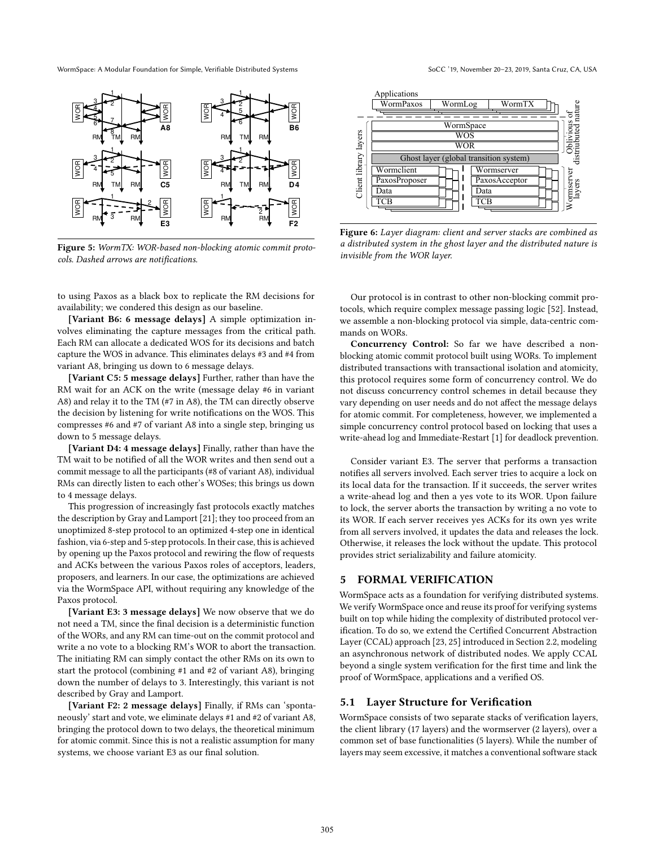WormSpace: A Modular Foundation for Simple, Verifiable Distributed Systems SoCC '19, November 20-23, 2019, Santa Cruz, CA, USA



Figure 5: WormTX: WOR-based non-blocking atomic commit protocols. Dashed arrows are notifications.

to using Paxos as a black box to replicate the RM decisions for availability; we condered this design as our baseline.

[Variant B6: 6 message delays] A simple optimization involves eliminating the capture messages from the critical path. Each RM can allocate a dedicated WOS for its decisions and batch capture the WOS in advance. This eliminates delays #3 and #4 from variant A8, bringing us down to 6 message delays.

[Variant C5: 5 message delays] Further, rather than have the RM wait for an ACK on the write (message delay #6 in variant A8) and relay it to the TM (#7 in A8), the TM can directly observe the decision by listening for write notifications on the WOS. This compresses #6 and #7 of variant A8 into a single step, bringing us down to 5 message delays.

[Variant D4: 4 message delays] Finally, rather than have the TM wait to be notified of all the WOR writes and then send out a commit message to all the participants (#8 of variant A8), individual RMs can directly listen to each other's WOSes; this brings us down to 4 message delays.

This progression of increasingly fast protocols exactly matches the description by Gray and Lamport [21]; they too proceed from an unoptimized 8-step protocol to an optimized 4-step one in identical fashion, via 6-step and 5-step protocols. In their case, this is achieved by opening up the Paxos protocol and rewiring the flow of requests and ACKs between the various Paxos roles of acceptors, leaders, proposers, and learners. In our case, the optimizations are achieved via the WormSpace API, without requiring any knowledge of the Paxos protocol.

[Variant E3: 3 message delays] We now observe that we do not need a TM, since the final decision is a deterministic function of the WORs, and any RM can time-out on the commit protocol and write a no vote to a blocking RM's WOR to abort the transaction. The initiating RM can simply contact the other RMs on its own to start the protocol (combining #1 and #2 of variant A8), bringing down the number of delays to 3. Interestingly, this variant is not described by Gray and Lamport.

[Variant F2: 2 message delays] Finally, if RMs can 'spontaneously' start and vote, we eliminate delays #1 and #2 of variant A8, bringing the protocol down to two delays, the theoretical minimum for atomic commit. Since this is not a realistic assumption for many systems, we choose variant E3 as our final solution.



Figure 6: Layer diagram: client and server stacks are combined as a distributed system in the ghost layer and the distributed nature is invisible from the WOR layer.

Our protocol is in contrast to other non-blocking commit protocols, which require complex message passing logic [52]. Instead, we assemble a non-blocking protocol via simple, data-centric commands on WORs.

Concurrency Control: So far we have described a nonblocking atomic commit protocol built using WORs. To implement distributed transactions with transactional isolation and atomicity, this protocol requires some form of concurrency control. We do not discuss concurrency control schemes in detail because they vary depending on user needs and do not affect the message delays for atomic commit. For completeness, however, we implemented a simple concurrency control protocol based on locking that uses a write-ahead log and Immediate-Restart [1] for deadlock prevention.

Consider variant E3. The server that performs a transaction notifies all servers involved. Each server tries to acquire a lock on its local data for the transaction. If it succeeds, the server writes a write-ahead log and then a yes vote to its WOR. Upon failure to lock, the server aborts the transaction by writing a no vote to its WOR. If each server receives yes ACKs for its own yes write from all servers involved, it updates the data and releases the lock. Otherwise, it releases the lock without the update. This protocol provides strict serializability and failure atomicity.

#### 5 FORMAL VERIFICATION

WormSpace acts as a foundation for verifying distributed systems. We verify WormSpace once and reuse its proof for verifying systems built on top while hiding the complexity of distributed protocol verification. To do so, we extend the Certified Concurrent Abstraction Layer (CCAL) approach [23, 25] introduced in Section 2.2, modeling an asynchronous network of distributed nodes. We apply CCAL beyond a single system verification for the first time and link the proof of WormSpace, applications and a verified OS.

## 5.1 Layer Structure for Verification

WormSpace consists of two separate stacks of verification layers, the client library (17 layers) and the wormserver (2 layers), over a common set of base functionalities (5 layers). While the number of layers may seem excessive, it matches a conventional software stack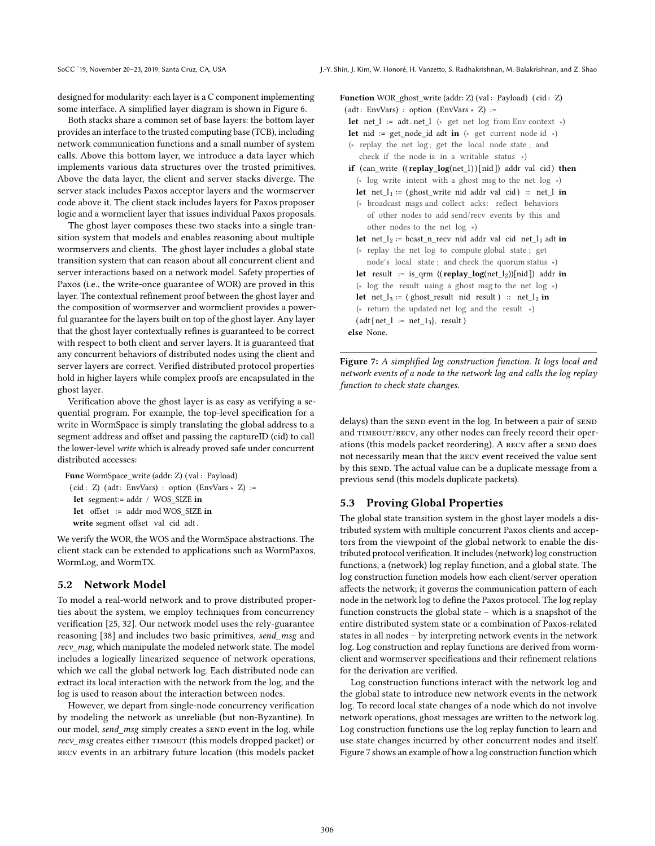designed for modularity: each layer is a C component implementing some interface. A simplified layer diagram is shown in Figure 6.

Both stacks share a common set of base layers: the bottom layer provides an interface to the trusted computing base (TCB), including network communication functions and a small number of system calls. Above this bottom layer, we introduce a data layer which implements various data structures over the trusted primitives. Above the data layer, the client and server stacks diverge. The server stack includes Paxos acceptor layers and the wormserver code above it. The client stack includes layers for Paxos proposer logic and a wormclient layer that issues individual Paxos proposals.

The ghost layer composes these two stacks into a single transition system that models and enables reasoning about multiple wormservers and clients. The ghost layer includes a global state transition system that can reason about all concurrent client and server interactions based on a network model. Safety properties of Paxos (i.e., the write-once guarantee of WOR) are proved in this layer. The contextual refinement proof between the ghost layer and the composition of wormserver and wormclient provides a powerful guarantee for the layers built on top of the ghost layer. Any layer that the ghost layer contextually refines is guaranteed to be correct with respect to both client and server layers. It is guaranteed that any concurrent behaviors of distributed nodes using the client and server layers are correct. Verified distributed protocol properties hold in higher layers while complex proofs are encapsulated in the ghost layer.

Verification above the ghost layer is as easy as verifying a sequential program. For example, the top-level specification for a write in WormSpace is simply translating the global address to a segment address and offset and passing the captureID (cid) to call the lower-level write which is already proved safe under concurrent distributed accesses:

```
Func WormSpace_write (addr: Z) (val : Payload)
(cid : Z) (adt: EnvVars) : option (EnvVars * Z) :=
let segment:= addr / WOS_SIZE in
let offset := addr mod WOS_SIZE in
write segment offset val cid adt .
```
We verify the WOR, the WOS and the WormSpace abstractions. The client stack can be extended to applications such as WormPaxos, WormLog, and WormTX.

## 5.2 Network Model

To model a real-world network and to prove distributed properties about the system, we employ techniques from concurrency verification [25, 32]. Our network model uses the rely-guarantee reasoning [38] and includes two basic primitives, send\_msg and recv\_msg, which manipulate the modeled network state. The model includes a logically linearized sequence of network operations, which we call the global network log. Each distributed node can extract its local interaction with the network from the log, and the log is used to reason about the interaction between nodes.

However, we depart from single-node concurrency verification by modeling the network as unreliable (but non-Byzantine). In our model, send\_msg simply creates a SEND event in the log, while recv\_msg creates either TIMEOUT (this models dropped packet) or recv events in an arbitrary future location (this models packet

```
Function WOR_ghost_write (addr: Z) (val : Payload) ( cid : Z)
(adt: EnvVars) : option (EnvVars * Z) :=let net l := adt. net l (∗ get net log from Env context ∗)
 let nid := get node id adt in (* get current node id *)
 (∗ replay the net log ; get the local node state ; and
    check if the node is in a writable status ∗)
 if (can_write ((replay_log(net_l))[nid]) addr val cid) then
   (∗ log write intent with a ghost msg to the net log ∗)
   let net\_l_1 := (ghost\_write\_mid\_addr\_val\_cid) :: net\_l\_in(∗ broadcast msgs and collect acks: reflect behaviors
      of other nodes to add send/recv events by this and
      other nodes to the net log ∗)
   let net<sub>12</sub> := bcast_n_recv nid addr val cid net<sub>11</sub> adt in
   (∗ replay the net log to compute global state ; get
      node's local state ; and check the quorum status ∗)
   let result := is qrm (( replay log(net l_2))[nid ]) addr in
   (∗ log the result using a ghost msg to the net log ∗)
   let net l_3 := (ghost_result nid result) :: net l_2 in
   (∗ return the updated net log and the result ∗)
   (\text{adt} \{ \text{net\_l} := \text{net\_1}_3\}, \text{result})else None.
```
Figure 7: A simplified log construction function. It logs local and network events of a node to the network log and calls the log replay function to check state changes.

delays) than the SEND event in the log. In between a pair of SEND and TIMEOUT/RECV, any other nodes can freely record their operations (this models packet reordering). A RECV after a SEND does not necessarily mean that the recv event received the value sent by this send. The actual value can be a duplicate message from a previous send (this models duplicate packets).

#### 5.3 Proving Global Properties

The global state transition system in the ghost layer models a distributed system with multiple concurrent Paxos clients and acceptors from the viewpoint of the global network to enable the distributed protocol verification. It includes (network) log construction functions, a (network) log replay function, and a global state. The log construction function models how each client/server operation affects the network; it governs the communication pattern of each node in the network log to define the Paxos protocol. The log replay function constructs the global state  $-$  which is a snapshot of the entire distributed system state or a combination of Paxos-related states in all nodes - by interpreting network events in the network log. Log construction and replay functions are derived from wormclient and wormserver specifications and their refinement relations for the derivation are verified.

Log construction functions interact with the network log and the global state to introduce new network events in the network log. To record local state changes of a node which do not involve network operations, ghost messages are written to the network log. Log construction functions use the log replay function to learn and use state changes incurred by other concurrent nodes and itself. Figure 7 shows an example of how a log construction function which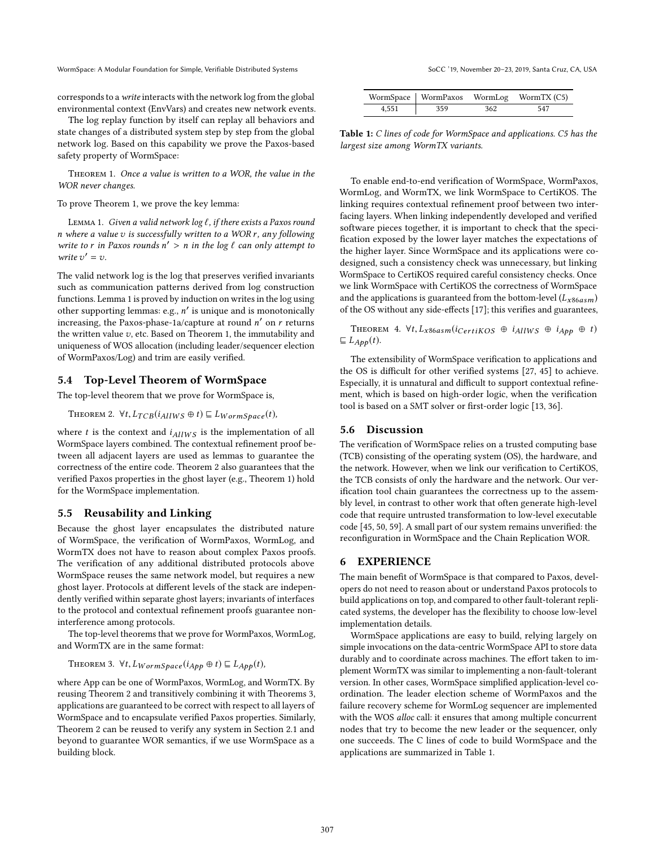WormSpace: A Modular Foundation for Simple, Verifiable Distributed Systems SoCC '19, November 20-23, 2019, Santa Cruz, CA, USA

corresponds to awrite interacts with the network log from the global environmental context (EnvVars) and creates new network events.

The log replay function by itself can replay all behaviors and state changes of a distributed system step by step from the global network log. Based on this capability we prove the Paxos-based safety property of WormSpace:

THEOREM 1. Once a value is written to a WOR, the value in the WOR never changes.

To prove Theorem 1, we prove the key lemma:

LEMMA 1. Given a valid network  $\log \ell$ , if there exists a Paxos round n where a value  $v$  is successfully written to a WOR  $r$ , any following write to r in Paxos rounds  $n' > n$  in the log  $\ell$  can only attempt to write  $v' = v$ .

The valid network log is the log that preserves verified invariants such as communication patterns derived from log construction functions. Lemma 1 is proved by induction on writes in the log using other supporting lemmas: e.g., n' is unique and is monotonically increasing, the Paxos-phase-1a/capture at round  $n'$  on  $r$  returns the written value  $v$ , etc. Based on Theorem 1, the immutability and uniqueness of WOS allocation (including leader/sequencer election of WormPaxos/Log) and trim are easily verified.

### 5.4 Top-Level Theorem of WormSpace

The top-level theorem that we prove for WormSpace is,

THEOREM 2. 
$$
\forall t
$$
,  $L_{TCB}(i_{AllWS} \oplus t) \sqsubseteq L_{WormSpace}(t)$ ,

where  $t$  is the context and  $i_{AllWS}$  is the implementation of all WormSpace layers combined. The contextual refinement proof between all adjacent layers are used as lemmas to guarantee the correctness of the entire code. Theorem 2 also guarantees that the verified Paxos properties in the ghost layer (e.g., Theorem 1) hold for the WormSpace implementation.

## 5.5 Reusability and Linking

Because the ghost layer encapsulates the distributed nature of WormSpace, the verification of WormPaxos, WormLog, and WormTX does not have to reason about complex Paxos proofs. The verification of any additional distributed protocols above WormSpace reuses the same network model, but requires a new ghost layer. Protocols at different levels of the stack are independently verified within separate ghost layers; invariants of interfaces to the protocol and contextual refinement proofs guarantee noninterference among protocols.

The top-level theorems that we prove for WormPaxos, WormLog, and WormTX are in the same format:

THEOREM 3.  $\forall t, L_{WormSpace}(i_{App} \oplus t) \sqsubseteq L_{App}(t)$ ,

where App can be one of WormPaxos, WormLog, and WormTX. By reusing Theorem 2 and transitively combining it with Theorems 3, applications are guaranteed to be correct with respect to all layers of WormSpace and to encapsulate verified Paxos properties. Similarly, Theorem 2 can be reused to verify any system in Section 2.1 and beyond to guarantee WOR semantics, if we use WormSpace as a building block.

|       |             |     | WormSpace   WormPaxos WormLog WormTX (C5) |
|-------|-------------|-----|-------------------------------------------|
| 4.551 | $\vert$ 359 | 362 | 547                                       |

Table 1: C lines of code for WormSpace and applications. C5 has the largest size among WormTX variants.

To enable end-to-end verification of WormSpace, WormPaxos, WormLog, and WormTX, we link WormSpace to CertiKOS. The linking requires contextual refinement proof between two interfacing layers. When linking independently developed and verified software pieces together, it is important to check that the specification exposed by the lower layer matches the expectations of the higher layer. Since WormSpace and its applications were codesigned, such a consistency check was unnecessary, but linking WormSpace to CertiKOS required careful consistency checks. Once we link WormSpace with CertiKOS the correctness of WormSpace and the applications is guaranteed from the bottom-level  $(L_{x86asm})$ of the OS without any side-effects [17]; this verifies and guarantees,

THEOREM 4.  $\forall t, L_{x86asm}(i_{CertiKOS} \oplus i_{AllWS} \oplus i_{App} \oplus t)$  $\sqsubseteq L_{App}(t).$ 

The extensibility of WormSpace verification to applications and the OS is difficult for other verified systems [27, 45] to achieve. Especially, it is unnatural and difficult to support contextual refinement, which is based on high-order logic, when the verification tool is based on a SMT solver or first-order logic [13, 36].

#### 5.6 Discussion

The verification of WormSpace relies on a trusted computing base (TCB) consisting of the operating system (OS), the hardware, and the network. However, when we link our verification to CertiKOS, the TCB consists of only the hardware and the network. Our verification tool chain guarantees the correctness up to the assembly level, in contrast to other work that often generate high-level code that require untrusted transformation to low-level executable code [45, 50, 59]. A small part of our system remains unverified: the reconfiguration in WormSpace and the Chain Replication WOR.

#### 6 EXPERIENCE

The main benefit of WormSpace is that compared to Paxos, developers do not need to reason about or understand Paxos protocols to build applications on top, and compared to other fault-tolerant replicated systems, the developer has the flexibility to choose low-level implementation details.

WormSpace applications are easy to build, relying largely on simple invocations on the data-centric WormSpace API to store data durably and to coordinate across machines. The effort taken to implement WormTX was similar to implementing a non-fault-tolerant version. In other cases, WormSpace simplified application-level coordination. The leader election scheme of WormPaxos and the failure recovery scheme for WormLog sequencer are implemented with the WOS alloc call: it ensures that among multiple concurrent nodes that try to become the new leader or the sequencer, only one succeeds. The C lines of code to build WormSpace and the applications are summarized in Table 1.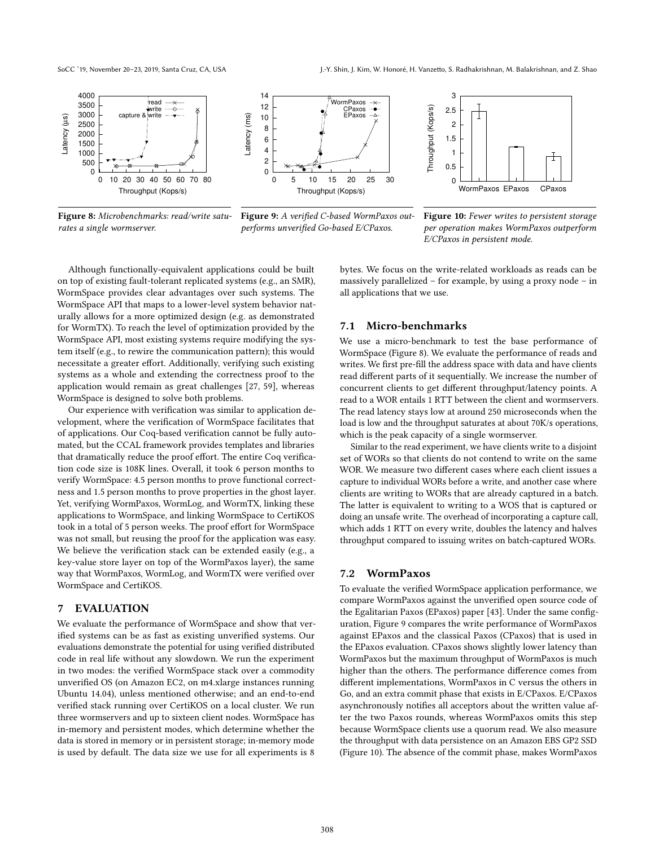SoCC '19, November 20-23, 2019, Santa Cruz, CA, USA J.-Y. Shin, J. Kim, W. Honoré, H. Vanzetto, S. Radhakrishnan, M. Balakrishnan, and Z. Shao



Figure 8: Microbenchmarks: read/write saturates a single wormserver.



Figure 9: A verified C-based WormPaxos outperforms unverified Go-based E/CPaxos.



Figure 10: Fewer writes to persistent storage per operation makes WormPaxos outperform E/CPaxos in persistent mode.

Although functionally-equivalent applications could be built on top of existing fault-tolerant replicated systems (e.g., an SMR), WormSpace provides clear advantages over such systems. The WormSpace API that maps to a lower-level system behavior naturally allows for a more optimized design (e.g. as demonstrated for WormTX). To reach the level of optimization provided by the WormSpace API, most existing systems require modifying the system itself (e.g., to rewire the communication pattern); this would necessitate a greater effort. Additionally, verifying such existing systems as a whole and extending the correctness proof to the application would remain as great challenges [27, 59], whereas WormSpace is designed to solve both problems.

Our experience with verification was similar to application development, where the verification of WormSpace facilitates that of applications. Our Coq-based verification cannot be fully automated, but the CCAL framework provides templates and libraries that dramatically reduce the proof effort. The entire Coq verification code size is 108K lines. Overall, it took 6 person months to verify WormSpace: 4.5 person months to prove functional correctness and 1.5 person months to prove properties in the ghost layer. Yet, verifying WormPaxos, WormLog, and WormTX, linking these applications to WormSpace, and linking WormSpace to CertiKOS took in a total of 5 person weeks. The proof effort for WormSpace was not small, but reusing the proof for the application was easy. We believe the verification stack can be extended easily (e.g., a key-value store layer on top of the WormPaxos layer), the same way that WormPaxos, WormLog, and WormTX were verified over WormSpace and CertiKOS.

## 7 EVALUATION

We evaluate the performance of WormSpace and show that verified systems can be as fast as existing unverified systems. Our evaluations demonstrate the potential for using verified distributed code in real life without any slowdown. We run the experiment in two modes: the verified WormSpace stack over a commodity unverified OS (on Amazon EC2, on m4.xlarge instances running Ubuntu 14.04), unless mentioned otherwise; and an end-to-end verified stack running over CertiKOS on a local cluster. We run three wormservers and up to sixteen client nodes. WormSpace has in-memory and persistent modes, which determine whether the data is stored in memory or in persistent storage; in-memory mode is used by default. The data size we use for all experiments is 8

bytes. We focus on the write-related workloads as reads can be massively parallelized  $-$  for example, by using a proxy node  $-$  in all applications that we use.

#### 7.1 Micro-benchmarks

We use a micro-benchmark to test the base performance of WormSpace (Figure 8). We evaluate the performance of reads and writes. We first pre-fill the address space with data and have clients read different parts of it sequentially. We increase the number of concurrent clients to get different throughput/latency points. A read to a WOR entails 1 RTT between the client and wormservers. The read latency stays low at around 250 microseconds when the load is low and the throughput saturates at about 70K/s operations, which is the peak capacity of a single wormserver.

Similar to the read experiment, we have clients write to a disjoint set of WORs so that clients do not contend to write on the same WOR. We measure two different cases where each client issues a capture to individual WORs before a write, and another case where clients are writing to WORs that are already captured in a batch. The latter is equivalent to writing to a WOS that is captured or doing an unsafe write. The overhead of incorporating a capture call, which adds 1 RTT on every write, doubles the latency and halves throughput compared to issuing writes on batch-captured WORs.

#### 7.2 WormPaxos

To evaluate the verified WormSpace application performance, we compare WormPaxos against the unverified open source code of the Egalitarian Paxos (EPaxos) paper [43]. Under the same configuration, Figure 9 compares the write performance of WormPaxos against EPaxos and the classical Paxos (CPaxos) that is used in the EPaxos evaluation. CPaxos shows slightly lower latency than WormPaxos but the maximum throughput of WormPaxos is much higher than the others. The performance difference comes from different implementations, WormPaxos in C versus the others in Go, and an extra commit phase that exists in E/CPaxos. E/CPaxos asynchronously notifies all acceptors about the written value after the two Paxos rounds, whereas WormPaxos omits this step because WormSpace clients use a quorum read. We also measure the throughput with data persistence on an Amazon EBS GP2 SSD (Figure 10). The absence of the commit phase, makes WormPaxos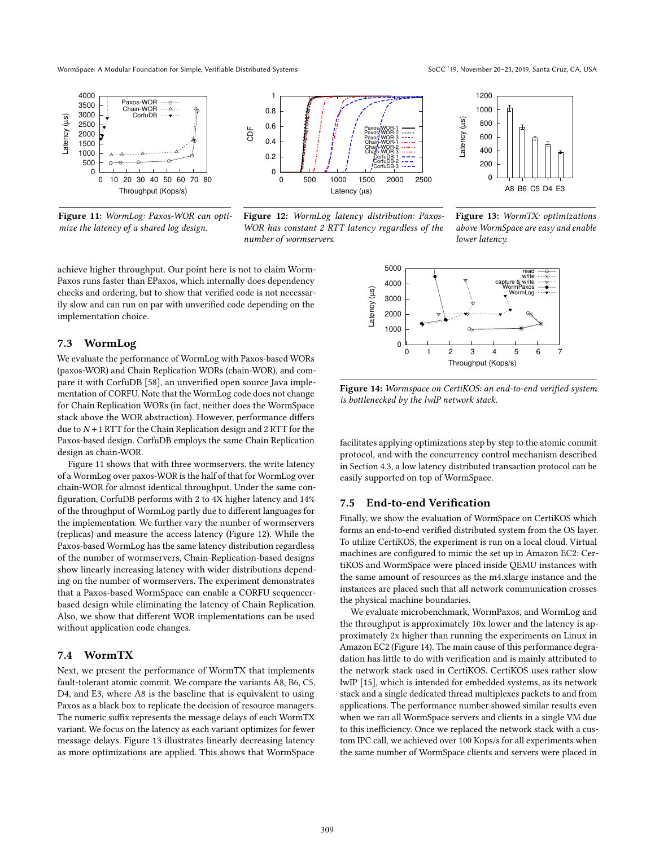WormSpace: A Modular Foundation for Simple, Verifiable Distributed Systems SoCC '19, November 20-23, 2019, Santa Cruz, CA, USA



Figure 11: WormLog: Paxos-WOR can optimize the latency of a shared log design.



Figure 12: WormLog latency distribution: Paxos-WOR has constant 2 RTT latency regardless of the number of wormservers.



Figure 13: WormTX: optimizations above WormSpace are easy and enable lower latency.

achieve higher throughput. Our point here is not to claim Worm-Paxos runs faster than EPaxos, which internally does dependency checks and ordering, but to show that verified code is not necessarily slow and can run on par with unverified code depending on the implementation choice.

#### 7.3 WormLog

We evaluate the performance of WormLog with Paxos-based WORs (paxos-WOR) and Chain Replication WORs (chain-WOR), and compare it with CorfuDB [58], an unverified open source Java implementation of CORFU. Note that the WormLog code does not change for Chain Replication WORs (in fact, neither does the WormSpace stack above the WOR abstraction). However, performance differs due to  $N+1$  RTT for the Chain Replication design and 2 RTT for the Paxos-based design. CorfuDB employs the same Chain Replication design as chain-WOR.

Figure 11 shows that with three wormservers, the write latency of a WormLog over paxos-WOR is the half of that for WormLog over chain-WOR for almost identical throughput. Under the same configuration, CorfuDB performs with 2 to 4X higher latency and 14% of the throughput of WormLog partly due to different languages for the implementation. We further vary the number of wormservers (replicas) and measure the access latency (Figure 12). While the Paxos-based WormLog has the same latency distribution regardless of the number of wormservers, Chain-Replication-based designs show linearly increasing latency with wider distributions depending on the number of wormservers. The experiment demonstrates that a Paxos-based WormSpace can enable a CORFU sequencerbased design while eliminating the latency of Chain Replication. Also, we show that different WOR implementations can be used without application code changes.

## 7.4 WormTX

Next, we present the performance of WormTX that implements fault-tolerant atomic commit. We compare the variants A8, B6, C5, D4, and E3, where A8 is the baseline that is equivalent to using Paxos as a black box to replicate the decision of resource managers. The numeric suffix represents the message delays of each WormTX variant. We focus on the latency as each variant optimizes for fewer message delays. Figure 13 illustrates linearly decreasing latency as more optimizations are applied. This shows that WormSpace



Figure 14: Wormspace on CertiKOS: an end-to-end verified system is bottlenecked by the lwIP network stack.

facilitates applying optimizations step by step to the atomic commit protocol, and with the concurrency control mechanism described in Section 4.3, a low latency distributed transaction protocol can be easily supported on top of WormSpace.

#### 7.5 End-to-end Verification

Finally, we show the evaluation of WormSpace on CertiKOS which forms an end-to-end verified distributed system from the OS layer. To utilize CertiKOS, the experiment is run on a local cloud. Virtual machines are configured to mimic the set up in Amazon EC2: CertiKOS and WormSpace were placed inside QEMU instances with the same amount of resources as the m4.xlarge instance and the instances are placed such that all network communication crosses the physical machine boundaries.

We evaluate microbenchmark, WormPaxos, and WormLog and the throughput is approximately 10x lower and the latency is approximately 2x higher than running the experiments on Linux in Amazon EC2 (Figure 14). The main cause of this performance degradation has little to do with verification and is mainly attributed to the network stack used in CertiKOS. CertiKOS uses rather slow lwIP [15], which is intended for embedded systems, as its network stack and a single dedicated thread multiplexes packets to and from applications. The performance number showed similar results even when we ran all WormSpace servers and clients in a single VM due to this inefficiency. Once we replaced the network stack with a custom IPC call, we achieved over 100 Kops/s for all experiments when the same number of WormSpace clients and servers were placed in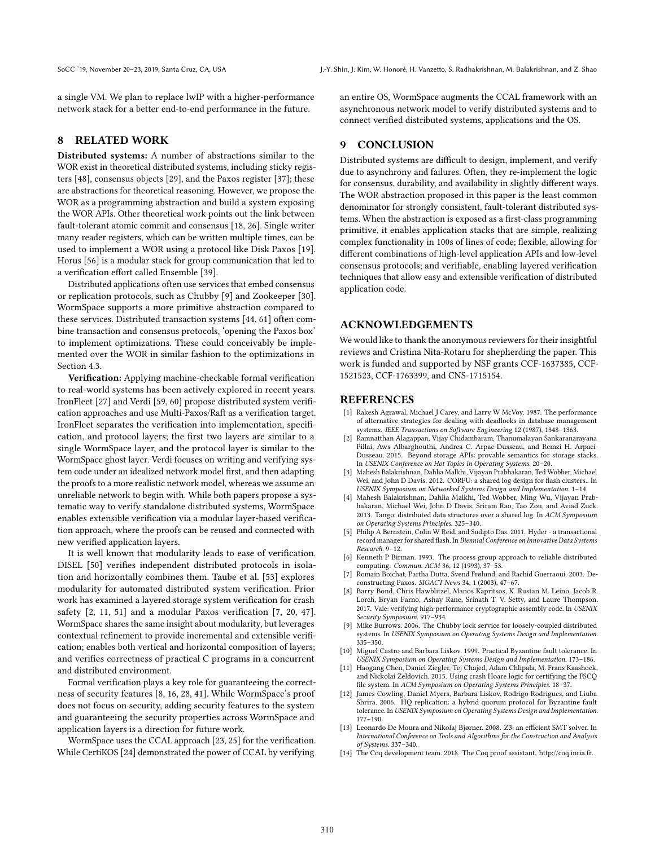a single VM. We plan to replace lwIP with a higher-performance network stack for a better end-to-end performance in the future.

## 8 RELATED WORK

Distributed systems: A number of abstractions similar to the WOR exist in theoretical distributed systems, including sticky registers [48], consensus objects [29], and the Paxos register [37]; these are abstractions for theoretical reasoning. However, we propose the WOR as a programming abstraction and build a system exposing the WOR APIs. Other theoretical work points out the link between fault-tolerant atomic commit and consensus [18, 26]. Single writer many reader registers, which can be written multiple times, can be used to implement a WOR using a protocol like Disk Paxos [19]. Horus [56] is a modular stack for group communication that led to a verification effort called Ensemble [39].

Distributed applications often use services that embed consensus or replication protocols, such as Chubby [9] and Zookeeper [30]. WormSpace supports a more primitive abstraction compared to these services. Distributed transaction systems [44, 61] often combine transaction and consensus protocols, 'opening the Paxos box' to implement optimizations. These could conceivably be implemented over the WOR in similar fashion to the optimizations in Section 4.3.

Verification: Applying machine-checkable formal verification to real-world systems has been actively explored in recent years. IronFleet [27] and Verdi [59, 60] propose distributed system verification approaches and use Multi-Paxos/Raft as a verification target. IronFleet separates the verification into implementation, specification, and protocol layers; the first two layers are similar to a single WormSpace layer, and the protocol layer is similar to the WormSpace ghost layer. Verdi focuses on writing and verifying system code under an idealized network model first, and then adapting the proofs to a more realistic network model, whereas we assume an unreliable network to begin with. While both papers propose a systematic way to verify standalone distributed systems, WormSpace enables extensible verification via a modular layer-based verification approach, where the proofs can be reused and connected with new verified application layers.

It is well known that modularity leads to ease of verification. DISEL [50] verifies independent distributed protocols in isolation and horizontally combines them. Taube et al. [53] explores modularity for automated distributed system verification. Prior work has examined a layered storage system verification for crash safety [2, 11, 51] and a modular Paxos verification [7, 20, 47]. WormSpace shares the same insight about modularity, but leverages contextual refinement to provide incremental and extensible verification; enables both vertical and horizontal composition of layers; and verifies correctness of practical C programs in a concurrent and distributed environment.

Formal verification plays a key role for guaranteeing the correctness of security features [8, 16, 28, 41]. While WormSpace's proof does not focus on security, adding security features to the system and guaranteeing the security properties across WormSpace and application layers is a direction for future work.

WormSpace uses the CCAL approach [23, 25] for the verification. While CertiKOS [24] demonstrated the power of CCAL by verifying

an entire OS, WormSpace augments the CCAL framework with an asynchronous network model to verify distributed systems and to connect verified distributed systems, applications and the OS.

## 9 CONCLUSION

Distributed systems are difficult to design, implement, and verify due to asynchrony and failures. Often, they re-implement the logic for consensus, durability, and availability in slightly different ways. The WOR abstraction proposed in this paper is the least common denominator for strongly consistent, fault-tolerant distributed systems. When the abstraction is exposed as a first-class programming primitive, it enables application stacks that are simple, realizing complex functionality in 100s of lines of code; flexible, allowing for different combinations of high-level application APIs and low-level consensus protocols; and verifiable, enabling layered verification techniques that allow easy and extensible verification of distributed application code.

## ACKNOWLEDGEMENTS

We would like to thank the anonymous reviewers for their insightful reviews and Cristina Nita-Rotaru for shepherding the paper. This work is funded and supported by NSF grants CCF-1637385, CCF-1521523, CCF-1763399, and CNS-1715154.

#### REFERENCES

- [1] Rakesh Agrawal, Michael J Carey, and Larry W McVoy, 1987. The performance of alternative strategies for dealing with deadlocks in database management systems. IEEE Transactions on Software Engineering 12 (1987), 1348-1363.
- [2] Ramnatthan Alagappan, Vijay Chidambaram, Thanumalayan Sankaranarayana Pillai, Aws Albarghouthi, Andrea C. Arpac-Dusseau, and Remzi H. Arpaci-Dusseau. 2015. Beyond storage APIs: provable semantics for storage stacks.
- In USENIX Conference on Hot Topics in Operating Systems. 20–20.<br>[3] Mahesh Balakrishnan, Dahlia Malkhi, Vijayan Prabhakaran, Ted Wobber, Michael Wei, and John D Davis. 2012. CORFU: a shared log design for flash clusters.. In USENIX Symposium on Networked Systems Design and Implementation. 1-14.
- [4] Mahesh Balakrishnan, Dahlia Malkhi, Ted Wobber, Ming Wu, Vijayan Prabhakaran, Michael Wei, John D Davis, Sriram Rao, Tao Zou, and Aviad Zuck. 2013. Tango: distributed data structures over a shared log. In ACM Symposium on Operating Systems Principles. 325-340.
- [5] Philip A Bernstein, Colin W Reid, and Sudipto Das. 2011. Hyder a transactional record manager for shared flash. In Biennial Conference on Innovative Data Systems Research. 9-12.
- [6] Kenneth P Birman. 1993. The process group approach to reliable distributed computing. Commun. ACM 36, 12 (1993), 37-53.
- [7] Romain Boichat, Partha Dutta, Svend Frølund, and Rachid Guerraoui. 2003. Deconstructing Paxos. SIGACT News 34, 1 (2003), 47-67.
- [8] Barry Bond, Chris Hawblitzel, Manos Kapritsos, K. Rustan M. Leino, Jacob R. Lorch, Bryan Parno, Ashay Rane, Srinath T. V. Setty, and Laure Thompson. 2017. Vale: verifying high-performance cryptographic assembly code. In USENIX Security Symposium. 917-934.
- [9] Mike Burrows. 2006. The Chubby lock service for loosely-coupled distributed systems. In USENIX Symposium on Operating Systems Design and Implementation. 335-350.
- [10] Miguel Castro and Barbara Liskov. 1999. Practical Byzantine fault tolerance. In USENIX Symposium on Operating Systems Design and Implementation. 173-186.
- [11] Haogang Chen, Daniel Ziegler, Tej Chajed, Adam Chlipala, M. Frans Kaashoek, and Nickolai Zeldovich. 2015. Using crash Hoare logic for certifying the FSCQ file system. In ACM Symposium on Operating Systems Principles. 18-37.
- [12] James Cowling, Daniel Myers, Barbara Liskov, Rodrigo Rodrigues, and Liuba Shrira. 2006. HQ replication: a hybrid quorum protocol for Byzantine fault tolerance. In USENIX Symposium on Operating Systems Design and Implementation.  $177 - 190.$
- [13] Leonardo De Moura and Nikolaj Bjørner. 2008. Z3: an efficient SMT solver. In International Conference on Tools and Algorithms for the Construction and Analysis of Systems. 337-340.
- [14] The Coq development team. 2018. The Coq proof assistant. http://coq.inria.fr.